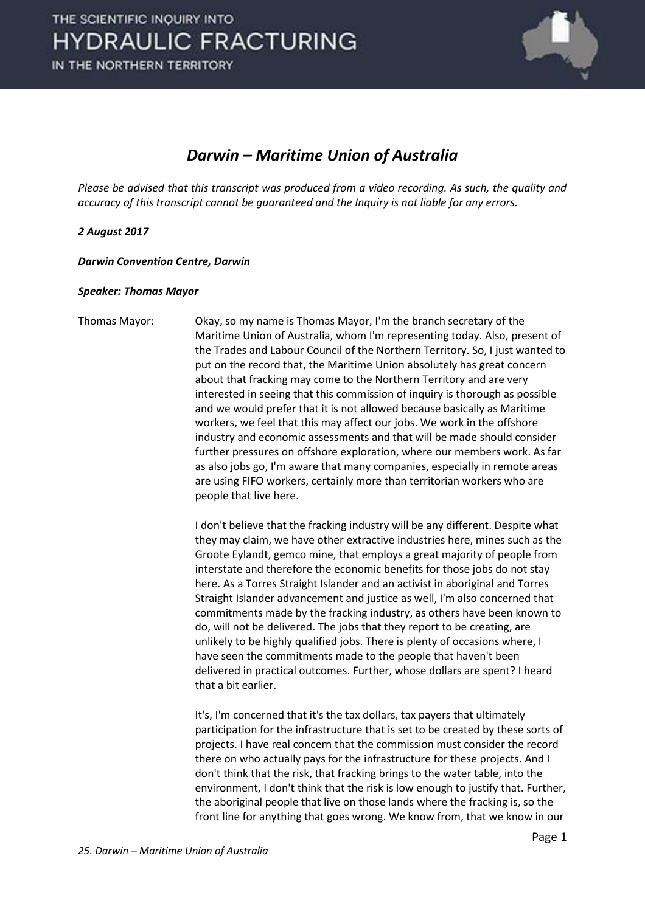

## *Darwin – Maritime Union of Australia*

*Please be advised that this transcript was produced from a video recording. As such, the quality and accuracy of this transcript cannot be guaranteed and the Inquiry is not liable for any errors.*

## *2 August 2017*

*Darwin Convention Centre, Darwin* 

## *Speaker: Thomas Mayor*

Thomas Mayor: Okay, so my name is Thomas Mayor, I'm the branch secretary of the Maritime Union of Australia, whom I'm representing today. Also, present of the Trades and Labour Council of the Northern Territory. So, I just wanted to put on the record that, the Maritime Union absolutely has great concern about that fracking may come to the Northern Territory and are very interested in seeing that this commission of inquiry is thorough as possible and we would prefer that it is not allowed because basically as Maritime workers, we feel that this may affect our jobs. We work in the offshore industry and economic assessments and that will be made should consider further pressures on offshore exploration, where our members work. As far as also jobs go, I'm aware that many companies, especially in remote areas are using FIFO workers, certainly more than territorian workers who are people that live here.

> I don't believe that the fracking industry will be any different. Despite what they may claim, we have other extractive industries here, mines such as the Groote Eylandt, gemco mine, that employs a great majority of people from interstate and therefore the economic benefits for those jobs do not stay here. As a Torres Straight Islander and an activist in aboriginal and Torres Straight Islander advancement and justice as well, I'm also concerned that commitments made by the fracking industry, as others have been known to do, will not be delivered. The jobs that they report to be creating, are unlikely to be highly qualified jobs. There is plenty of occasions where, I have seen the commitments made to the people that haven't been delivered in practical outcomes. Further, whose dollars are spent? I heard that a bit earlier.

> It's, I'm concerned that it's the tax dollars, tax payers that ultimately participation for the infrastructure that is set to be created by these sorts of projects. I have real concern that the commission must consider the record there on who actually pays for the infrastructure for these projects. And I don't think that the risk, that fracking brings to the water table, into the environment, I don't think that the risk is low enough to justify that. Further, the aboriginal people that live on those lands where the fracking is, so the front line for anything that goes wrong. We know from, that we know in our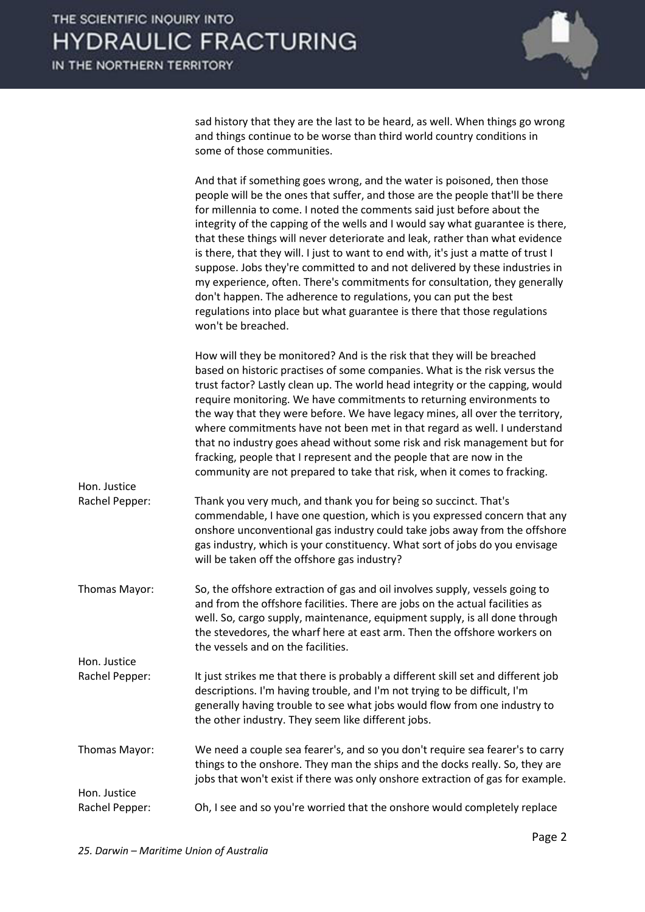

sad history that they are the last to be heard, as well. When things go wrong and things continue to be worse than third world country conditions in some of those communities.

|                                | And that if something goes wrong, and the water is poisoned, then those<br>people will be the ones that suffer, and those are the people that'll be there<br>for millennia to come. I noted the comments said just before about the<br>integrity of the capping of the wells and I would say what guarantee is there,<br>that these things will never deteriorate and leak, rather than what evidence<br>is there, that they will. I just to want to end with, it's just a matte of trust I<br>suppose. Jobs they're committed to and not delivered by these industries in<br>my experience, often. There's commitments for consultation, they generally<br>don't happen. The adherence to regulations, you can put the best<br>regulations into place but what guarantee is there that those regulations<br>won't be breached. |
|--------------------------------|---------------------------------------------------------------------------------------------------------------------------------------------------------------------------------------------------------------------------------------------------------------------------------------------------------------------------------------------------------------------------------------------------------------------------------------------------------------------------------------------------------------------------------------------------------------------------------------------------------------------------------------------------------------------------------------------------------------------------------------------------------------------------------------------------------------------------------|
| Hon. Justice                   | How will they be monitored? And is the risk that they will be breached<br>based on historic practises of some companies. What is the risk versus the<br>trust factor? Lastly clean up. The world head integrity or the capping, would<br>require monitoring. We have commitments to returning environments to<br>the way that they were before. We have legacy mines, all over the territory,<br>where commitments have not been met in that regard as well. I understand<br>that no industry goes ahead without some risk and risk management but for<br>fracking, people that I represent and the people that are now in the<br>community are not prepared to take that risk, when it comes to fracking.                                                                                                                      |
| Rachel Pepper:                 | Thank you very much, and thank you for being so succinct. That's<br>commendable, I have one question, which is you expressed concern that any<br>onshore unconventional gas industry could take jobs away from the offshore<br>gas industry, which is your constituency. What sort of jobs do you envisage<br>will be taken off the offshore gas industry?                                                                                                                                                                                                                                                                                                                                                                                                                                                                      |
| Thomas Mayor:                  | So, the offshore extraction of gas and oil involves supply, vessels going to<br>and from the offshore facilities. There are jobs on the actual facilities as<br>well. So, cargo supply, maintenance, equipment supply, is all done through<br>the stevedores, the wharf here at east arm. Then the offshore workers on<br>the vessels and on the facilities.                                                                                                                                                                                                                                                                                                                                                                                                                                                                    |
| Hon. Justice<br>Rachel Pepper: | It just strikes me that there is probably a different skill set and different job<br>descriptions. I'm having trouble, and I'm not trying to be difficult, I'm<br>generally having trouble to see what jobs would flow from one industry to<br>the other industry. They seem like different jobs.                                                                                                                                                                                                                                                                                                                                                                                                                                                                                                                               |
| Thomas Mayor:                  | We need a couple sea fearer's, and so you don't require sea fearer's to carry<br>things to the onshore. They man the ships and the docks really. So, they are<br>jobs that won't exist if there was only onshore extraction of gas for example.                                                                                                                                                                                                                                                                                                                                                                                                                                                                                                                                                                                 |
| Hon. Justice                   |                                                                                                                                                                                                                                                                                                                                                                                                                                                                                                                                                                                                                                                                                                                                                                                                                                 |
| Rachel Pepper:                 | Oh, I see and so you're worried that the onshore would completely replace                                                                                                                                                                                                                                                                                                                                                                                                                                                                                                                                                                                                                                                                                                                                                       |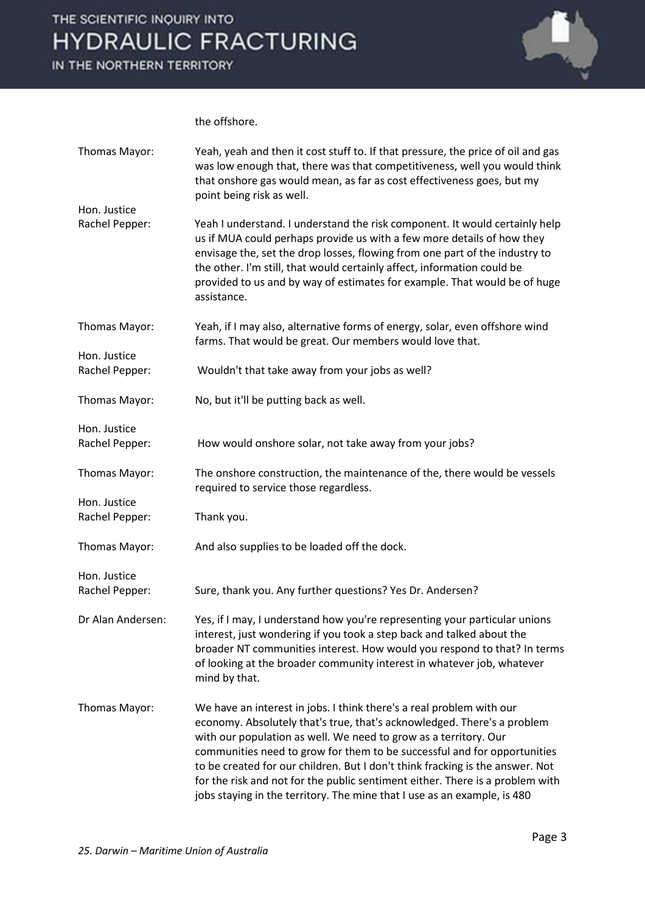

the offshore.

| Thomas Mayor:                  | Yeah, yeah and then it cost stuff to. If that pressure, the price of oil and gas<br>was low enough that, there was that competitiveness, well you would think<br>that onshore gas would mean, as far as cost effectiveness goes, but my<br>point being risk as well.                                                                                                                                                                                                                                                                          |
|--------------------------------|-----------------------------------------------------------------------------------------------------------------------------------------------------------------------------------------------------------------------------------------------------------------------------------------------------------------------------------------------------------------------------------------------------------------------------------------------------------------------------------------------------------------------------------------------|
| Hon. Justice<br>Rachel Pepper: | Yeah I understand. I understand the risk component. It would certainly help<br>us if MUA could perhaps provide us with a few more details of how they<br>envisage the, set the drop losses, flowing from one part of the industry to<br>the other. I'm still, that would certainly affect, information could be<br>provided to us and by way of estimates for example. That would be of huge<br>assistance.                                                                                                                                   |
| Thomas Mayor:                  | Yeah, if I may also, alternative forms of energy, solar, even offshore wind<br>farms. That would be great. Our members would love that.                                                                                                                                                                                                                                                                                                                                                                                                       |
| Hon. Justice<br>Rachel Pepper: | Wouldn't that take away from your jobs as well?                                                                                                                                                                                                                                                                                                                                                                                                                                                                                               |
| Thomas Mayor:                  | No, but it'll be putting back as well.                                                                                                                                                                                                                                                                                                                                                                                                                                                                                                        |
| Hon. Justice<br>Rachel Pepper: | How would onshore solar, not take away from your jobs?                                                                                                                                                                                                                                                                                                                                                                                                                                                                                        |
| Thomas Mayor:                  | The onshore construction, the maintenance of the, there would be vessels<br>required to service those regardless.                                                                                                                                                                                                                                                                                                                                                                                                                             |
| Hon. Justice<br>Rachel Pepper: | Thank you.                                                                                                                                                                                                                                                                                                                                                                                                                                                                                                                                    |
| Thomas Mayor:                  | And also supplies to be loaded off the dock.                                                                                                                                                                                                                                                                                                                                                                                                                                                                                                  |
| Hon. Justice<br>Rachel Pepper: | Sure, thank you. Any further questions? Yes Dr. Andersen?                                                                                                                                                                                                                                                                                                                                                                                                                                                                                     |
| Dr Alan Andersen:              | Yes, if I may, I understand how you're representing your particular unions<br>interest, just wondering if you took a step back and talked about the<br>broader NT communities interest. How would you respond to that? In terms<br>of looking at the broader community interest in whatever job, whatever<br>mind by that.                                                                                                                                                                                                                    |
| Thomas Mayor:                  | We have an interest in jobs. I think there's a real problem with our<br>economy. Absolutely that's true, that's acknowledged. There's a problem<br>with our population as well. We need to grow as a territory. Our<br>communities need to grow for them to be successful and for opportunities<br>to be created for our children. But I don't think fracking is the answer. Not<br>for the risk and not for the public sentiment either. There is a problem with<br>jobs staying in the territory. The mine that I use as an example, is 480 |